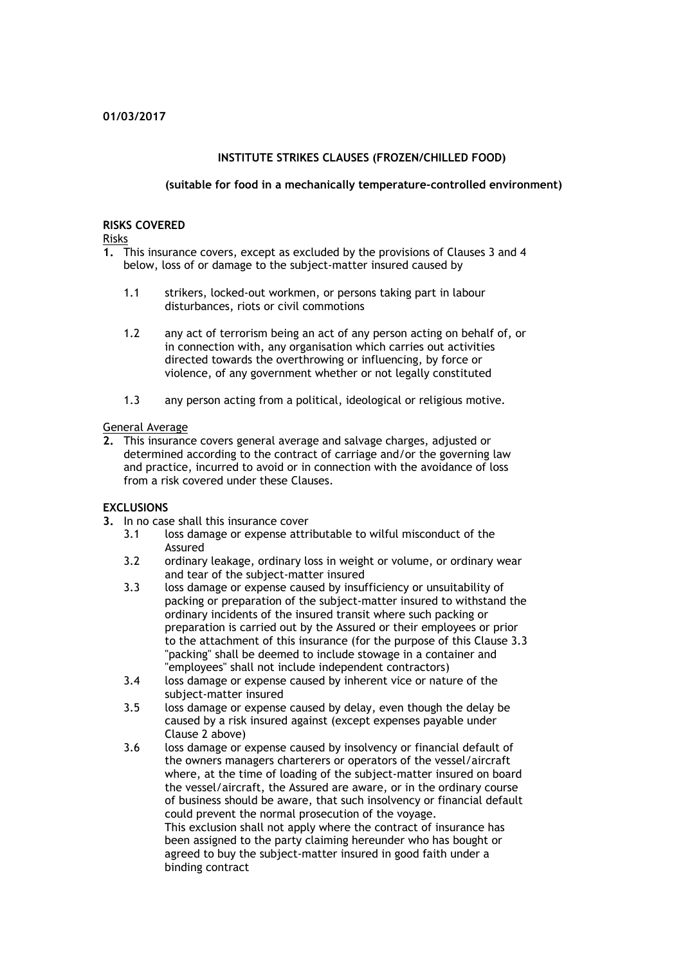## **INSTITUTE STRIKES CLAUSES (FROZEN/CHILLED FOOD)**

#### **(suitable for food in a mechanically temperature-controlled environment)**

#### **RISKS COVERED**

Risks

- **1.** This insurance covers, except as excluded by the provisions of Clauses 3 and 4 below, loss of or damage to the subject-matter insured caused by
	- 1.1 strikers, locked-out workmen, or persons taking part in labour disturbances, riots or civil commotions
	- 1.2 any act of terrorism being an act of any person acting on behalf of, or in connection with, any organisation which carries out activities directed towards the overthrowing or influencing, by force or violence, of any government whether or not legally constituted
	- 1.3 any person acting from a political, ideological or religious motive.

#### General Average

**2.** This insurance covers general average and salvage charges, adjusted or determined according to the contract of carriage and/or the governing law and practice, incurred to avoid or in connection with the avoidance of loss from a risk covered under these Clauses.

## **EXCLUSIONS**

- **3.** In no case shall this insurance cover
	- 3.1 loss damage or expense attributable to wilful misconduct of the Assured
	- 3.2 ordinary leakage, ordinary loss in weight or volume, or ordinary wear and tear of the subject-matter insured
	- 3.3 loss damage or expense caused by insufficiency or unsuitability of packing or preparation of the subject-matter insured to withstand the ordinary incidents of the insured transit where such packing or preparation is carried out by the Assured or their employees or prior to the attachment of this insurance (for the purpose of this Clause 3.3 "packing" shall be deemed to include stowage in a container and "employees" shall not include independent contractors)
	- 3.4 loss damage or expense caused by inherent vice or nature of the subject-matter insured
	- 3.5 loss damage or expense caused by delay, even though the delay be caused by a risk insured against (except expenses payable under Clause 2 above)
	- 3.6 loss damage or expense caused by insolvency or financial default of the owners managers charterers or operators of the vessel/aircraft where, at the time of loading of the subject-matter insured on board the vessel/aircraft, the Assured are aware, or in the ordinary course of business should be aware, that such insolvency or financial default could prevent the normal prosecution of the voyage. This exclusion shall not apply where the contract of insurance has been assigned to the party claiming hereunder who has bought or agreed to buy the subject-matter insured in good faith under a binding contract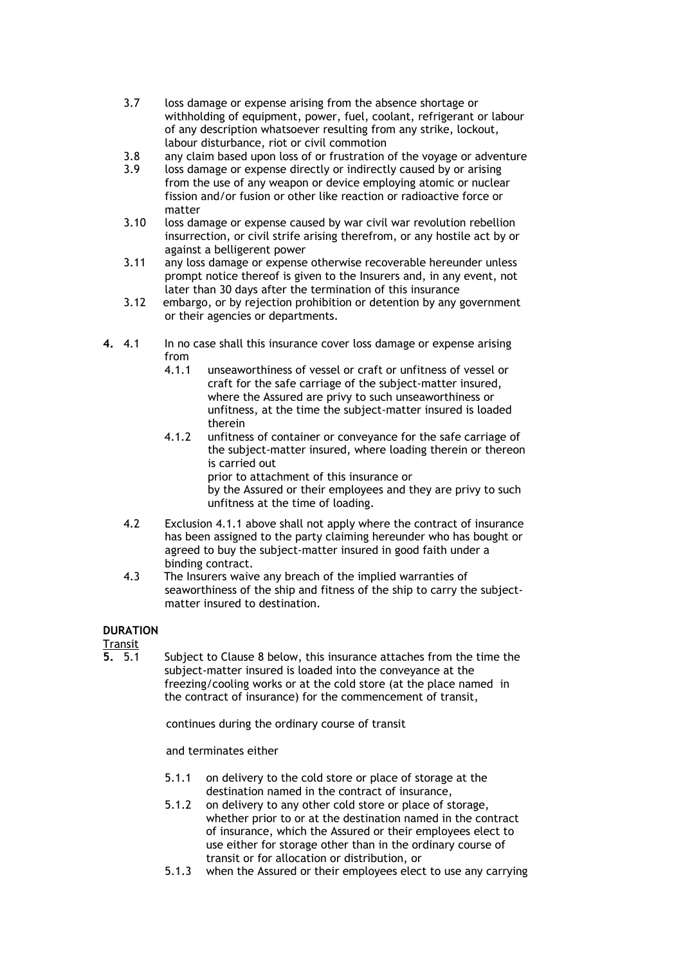- 3.7 loss damage or expense arising from the absence shortage or withholding of equipment, power, fuel, coolant, refrigerant or labour of any description whatsoever resulting from any strike, lockout, labour disturbance, riot or civil commotion
- 3.8 any claim based upon loss of or frustration of the voyage or adventure
- 3.9 loss damage or expense directly or indirectly caused by or arising from the use of any weapon or device employing atomic or nuclear fission and/or fusion or other like reaction or radioactive force or matter
- 3.10 loss damage or expense caused by war civil war revolution rebellion insurrection, or civil strife arising therefrom, or any hostile act by or against a belligerent power
- 3.11 any loss damage or expense otherwise recoverable hereunder unless prompt notice thereof is given to the Insurers and, in any event, not later than 30 days after the termination of this insurance
- 3.12 embargo, or by rejection prohibition or detention by any government or their agencies or departments.
- **4.** 4.1 In no case shall this insurance cover loss damage or expense arising from
	- 4.1.1 unseaworthiness of vessel or craft or unfitness of vessel or craft for the safe carriage of the subject-matter insured, where the Assured are privy to such unseaworthiness or unfitness, at the time the subject-matter insured is loaded therein
	- 4.1.2 unfitness of container or conveyance for the safe carriage of the subject-matter insured, where loading therein or thereon is carried out prior to attachment of this insurance or

by the Assured or their employees and they are privy to such unfitness at the time of loading.

- 4.2 Exclusion 4.1.1 above shall not apply where the contract of insurance has been assigned to the party claiming hereunder who has bought or agreed to buy the subject-matter insured in good faith under a binding contract.
- 4.3 The Insurers waive any breach of the implied warranties of seaworthiness of the ship and fitness of the ship to carry the subjectmatter insured to destination.

## **DURATION**

Transit<br>5.5.1

**5.** 5.1 Subject to Clause 8 below, this insurance attaches from the time the subject-matter insured is loaded into the conveyance at the freezing/cooling works or at the cold store (at the place named in the contract of insurance) for the commencement of transit,

continues during the ordinary course of transit

and terminates either

- 5.1.1 on delivery to the cold store or place of storage at the destination named in the contract of insurance,
- 5.1.2 on delivery to any other cold store or place of storage, whether prior to or at the destination named in the contract of insurance, which the Assured or their employees elect to use either for storage other than in the ordinary course of transit or for allocation or distribution, or
- 5.1.3 when the Assured or their employees elect to use any carrying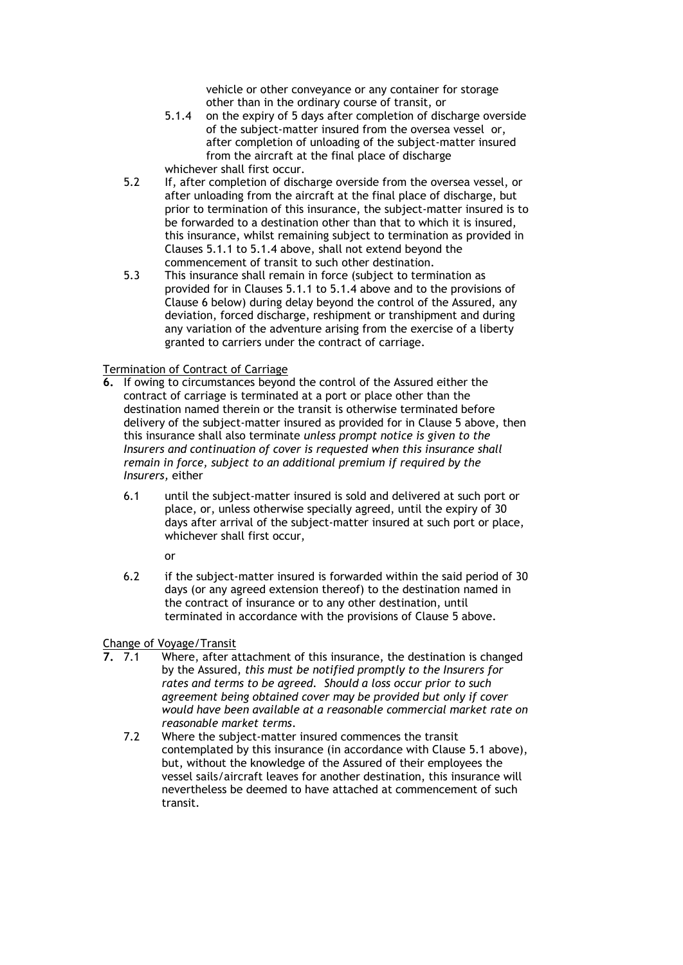vehicle or other conveyance or any container for storage other than in the ordinary course of transit, or

- 5.1.4 on the expiry of 5 days after completion of discharge overside of the subject-matter insured from the oversea vessel or, after completion of unloading of the subject-matter insured from the aircraft at the final place of discharge whichever shall first occur.
- 5.2 If, after completion of discharge overside from the oversea vessel, or after unloading from the aircraft at the final place of discharge, but prior to termination of this insurance, the subject-matter insured is to be forwarded to a destination other than that to which it is insured, this insurance, whilst remaining subject to termination as provided in Clauses 5.1.1 to 5.1.4 above, shall not extend beyond the commencement of transit to such other destination.
- 5.3 This insurance shall remain in force (subject to termination as provided for in Clauses 5.1.1 to 5.1.4 above and to the provisions of Clause 6 below) during delay beyond the control of the Assured, any deviation, forced discharge, reshipment or transhipment and during any variation of the adventure arising from the exercise of a liberty granted to carriers under the contract of carriage.

## Termination of Contract of Carriage

- **6.** If owing to circumstances beyond the control of the Assured either the contract of carriage is terminated at a port or place other than the destination named therein or the transit is otherwise terminated before delivery of the subject-matter insured as provided for in Clause 5 above, then this insurance shall also terminate *unless prompt notice is given to the Insurers and continuation of cover is requested when this insurance shall remain in force, subject to an additional premium if required by the Insurers,* either
	- 6.1 until the subject-matter insured is sold and delivered at such port or place, or, unless otherwise specially agreed, until the expiry of 30 days after arrival of the subject-matter insured at such port or place, whichever shall first occur,

or

6.2 if the subject-matter insured is forwarded within the said period of 30 days (or any agreed extension thereof) to the destination named in the contract of insurance or to any other destination, until terminated in accordance with the provisions of Clause 5 above.

## Change of Voyage/Transit

- **7.** 7.1 Where, after attachment of this insurance, the destination is changed by the Assured, *this must be notified promptly to the Insurers for rates and terms to be agreed. Should a loss occur prior to such agreement being obtained cover may be provided but only if cover would have been available at a reasonable commercial market rate on reasonable market terms*.
	- 7.2 Where the subject-matter insured commences the transit contemplated by this insurance (in accordance with Clause 5.1 above), but, without the knowledge of the Assured of their employees the vessel sails/aircraft leaves for another destination, this insurance will nevertheless be deemed to have attached at commencement of such transit.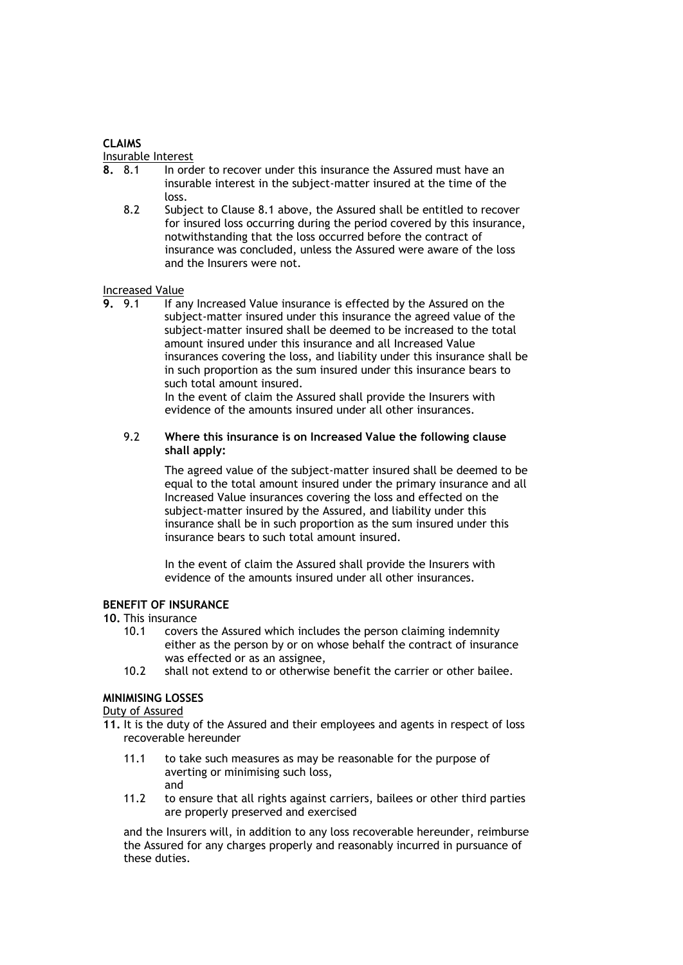## **CLAIMS**

#### Insurable Interest

- **8.** 8.1 In order to recover under this insurance the Assured must have an insurable interest in the subject-matter insured at the time of the loss.
	- 8.2 Subject to Clause 8.1 above, the Assured shall be entitled to recover for insured loss occurring during the period covered by this insurance, notwithstanding that the loss occurred before the contract of insurance was concluded, unless the Assured were aware of the loss and the Insurers were not.

# Increased Value<br>**9.** 9.1 If an

**9.** 9.1 If any Increased Value insurance is effected by the Assured on the subject-matter insured under this insurance the agreed value of the subject-matter insured shall be deemed to be increased to the total amount insured under this insurance and all Increased Value insurances covering the loss, and liability under this insurance shall be in such proportion as the sum insured under this insurance bears to such total amount insured.

In the event of claim the Assured shall provide the Insurers with evidence of the amounts insured under all other insurances.

## 9.2 **Where this insurance is on Increased Value the following clause shall apply:**

The agreed value of the subject-matter insured shall be deemed to be equal to the total amount insured under the primary insurance and all Increased Value insurances covering the loss and effected on the subject-matter insured by the Assured, and liability under this insurance shall be in such proportion as the sum insured under this insurance bears to such total amount insured.

In the event of claim the Assured shall provide the Insurers with evidence of the amounts insured under all other insurances.

## **BENEFIT OF INSURANCE**

**10.** This insurance

- 10.1 covers the Assured which includes the person claiming indemnity either as the person by or on whose behalf the contract of insurance was effected or as an assignee,
- 10.2 shall not extend to or otherwise benefit the carrier or other bailee.

## **MINIMISING LOSSES**

#### Duty of Assured

- **11.** It is the duty of the Assured and their employees and agents in respect of loss recoverable hereunder
	- 11.1 to take such measures as may be reasonable for the purpose of averting or minimising such loss, and
	- 11.2 to ensure that all rights against carriers, bailees or other third parties are properly preserved and exercised

and the Insurers will, in addition to any loss recoverable hereunder, reimburse the Assured for any charges properly and reasonably incurred in pursuance of these duties.